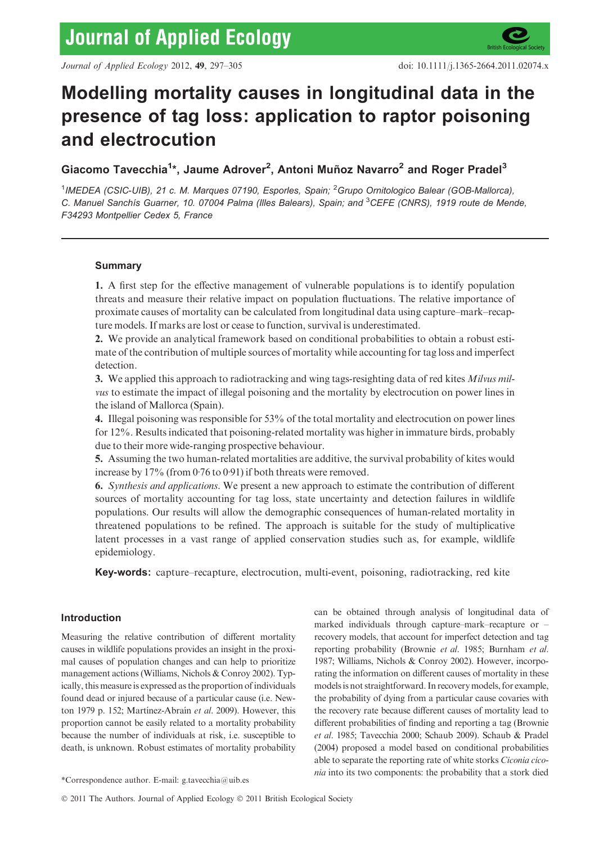# Modelling mortality causes in longitudinal data in the presence of tag loss: application to raptor poisoning and electrocution

Giacomo Tavecchia<sup>1\*</sup>, Jaume Adrover<sup>2</sup>, Antoni Muñoz Navarro<sup>2</sup> and Roger Pradel<sup>3</sup>

<sup>1</sup>IMEDEA (CSIC-UIB), 21 c. M. Marques 07190, Esporles, Spain; <sup>2</sup>Grupo Ornitologico Balear (GOB-Mallorca), C. Manuel Sanchís Guarner, 10. 07004 Palma (Illes Balears), Spain; and <sup>3</sup>CEFE (CNRS), 1919 route de Mende, F34293 Montpellier Cedex 5, France

## Summary

1. A first step for the effective management of vulnerable populations is to identify population threats and measure their relative impact on population fluctuations. The relative importance of proximate causes of mortality can be calculated from longitudinal data using capture–mark–recapture models. If marks are lost or cease to function, survival is underestimated.

2. We provide an analytical framework based on conditional probabilities to obtain a robust estimate of the contribution of multiple sources of mortality while accounting for tag loss and imperfect detection.

3. We applied this approach to radiotracking and wing tags-resighting data of red kites Milvus milvus to estimate the impact of illegal poisoning and the mortality by electrocution on power lines in the island of Mallorca (Spain).

4. Illegal poisoning was responsible for 53% of the total mortality and electrocution on power lines for 12%. Results indicated that poisoning-related mortality was higher in immature birds, probably due to their more wide-ranging prospective behaviour.

5. Assuming the two human-related mortalities are additive, the survival probability of kites would increase by  $17\%$  (from 0.76 to 0.91) if both threats were removed.

6. Synthesis and applications. We present a new approach to estimate the contribution of different sources of mortality accounting for tag loss, state uncertainty and detection failures in wildlife populations. Our results will allow the demographic consequences of human-related mortality in threatened populations to be refined. The approach is suitable for the study of multiplicative latent processes in a vast range of applied conservation studies such as, for example, wildlife epidemiology.

Key-words: capture–recapture, electrocution, multi-event, poisoning, radiotracking, red kite

## Introduction

Measuring the relative contribution of different mortality causes in wildlife populations provides an insight in the proximal causes of population changes and can help to prioritize management actions (Williams, Nichols & Conroy 2002). Typically, this measure is expressed as the proportion of individuals found dead or injured because of a particular cause (i.e. Newton 1979 p. 152; Martínez-Abraín et al. 2009). However, this proportion cannot be easily related to a mortality probability because the number of individuals at risk, i.e. susceptible to death, is unknown. Robust estimates of mortality probability

can be obtained through analysis of longitudinal data of marked individuals through capture–mark–recapture or – recovery models, that account for imperfect detection and tag reporting probability (Brownie et al. 1985; Burnham et al. 1987; Williams, Nichols & Conroy 2002). However, incorporating the information on different causes of mortality in these models is not straightforward. In recovery models, for example, the probability of dying from a particular cause covaries with the recovery rate because different causes of mortality lead to different probabilities of finding and reporting a tag (Brownie et al. 1985; Tavecchia 2000; Schaub 2009). Schaub & Pradel (2004) proposed a model based on conditional probabilities able to separate the reporting rate of white storks Ciconia ciconia into its two components: the probability that a stork died

<sup>\*</sup>Correspondence author. E-mail: g.tavecchia@uib.es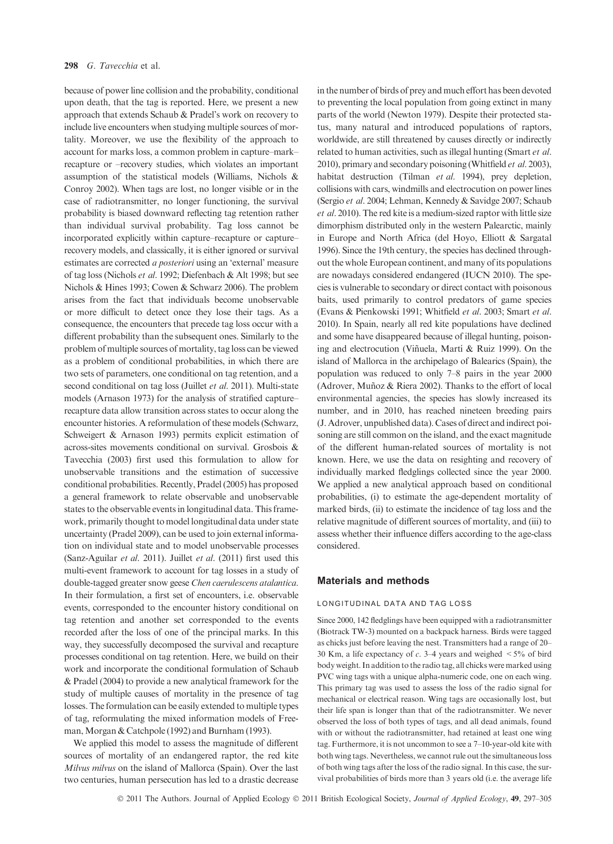because of power line collision and the probability, conditional upon death, that the tag is reported. Here, we present a new approach that extends Schaub & Pradel's work on recovery to include live encounters when studying multiple sources of mortality. Moreover, we use the flexibility of the approach to account for marks loss, a common problem in capture–mark– recapture or –recovery studies, which violates an important assumption of the statistical models (Williams, Nichols & Conroy 2002). When tags are lost, no longer visible or in the case of radiotransmitter, no longer functioning, the survival probability is biased downward reflecting tag retention rather than individual survival probability. Tag loss cannot be incorporated explicitly within capture–recapture or capture– recovery models, and classically, it is either ignored or survival estimates are corrected a posteriori using an 'external' measure of tag loss (Nichols et al. 1992; Diefenbach & Alt 1998; but see Nichols & Hines 1993; Cowen & Schwarz 2006). The problem arises from the fact that individuals become unobservable or more difficult to detect once they lose their tags. As a consequence, the encounters that precede tag loss occur with a different probability than the subsequent ones. Similarly to the problem of multiple sources of mortality, tag loss can be viewed as a problem of conditional probabilities, in which there are two sets of parameters, one conditional on tag retention, and a second conditional on tag loss (Juillet et al. 2011). Multi-state models (Arnason 1973) for the analysis of stratified capture– recapture data allow transition across states to occur along the encounter histories. A reformulation of these models (Schwarz, Schweigert & Arnason 1993) permits explicit estimation of across-sites movements conditional on survival. Grosbois & Tavecchia (2003) first used this formulation to allow for unobservable transitions and the estimation of successive conditional probabilities. Recently, Pradel (2005) has proposed a general framework to relate observable and unobservable states to the observable events in longitudinal data. This framework, primarily thought to model longitudinal data under state uncertainty (Pradel 2009), can be used to join external information on individual state and to model unobservable processes (Sanz-Aguilar et al. 2011). Juillet et al. (2011) first used this multi-event framework to account for tag losses in a study of double-tagged greater snow geese Chen caerulescens atalantica. In their formulation, a first set of encounters, i.e. observable events, corresponded to the encounter history conditional on tag retention and another set corresponded to the events recorded after the loss of one of the principal marks. In this way, they successfully decomposed the survival and recapture processes conditional on tag retention. Here, we build on their work and incorporate the conditional formulation of Schaub & Pradel (2004) to provide a new analytical framework for the study of multiple causes of mortality in the presence of tag losses. The formulation can be easily extended to multiple types of tag, reformulating the mixed information models of Freeman, Morgan & Catchpole (1992) and Burnham (1993).

We applied this model to assess the magnitude of different sources of mortality of an endangered raptor, the red kite Milvus milvus on the island of Mallorca (Spain). Over the last two centuries, human persecution has led to a drastic decrease in the number of birds of prey and much effort has been devoted to preventing the local population from going extinct in many parts of the world (Newton 1979). Despite their protected status, many natural and introduced populations of raptors, worldwide, are still threatened by causes directly or indirectly related to human activities, such as illegal hunting (Smart et al. 2010), primary and secondary poisoning (Whitfield et al. 2003), habitat destruction (Tilman et al. 1994), prey depletion, collisions with cars, windmills and electrocution on power lines (Sergio et al. 2004; Lehman, Kennedy & Savidge 2007; Schaub et al. 2010). The red kite is a medium-sized raptor with little size dimorphism distributed only in the western Palearctic, mainly in Europe and North Africa (del Hoyo, Elliott & Sargatal 1996). Since the 19th century, the species has declined throughout the whole European continent, and many of its populations are nowadays considered endangered (IUCN 2010). The species is vulnerable to secondary or direct contact with poisonous baits, used primarily to control predators of game species (Evans & Pienkowski 1991; Whitfield et al. 2003; Smart et al. 2010). In Spain, nearly all red kite populations have declined and some have disappeared because of illegal hunting, poisoning and electrocution (Viñuela, Martí & Ruiz 1999). On the island of Mallorca in the archipelago of Balearics (Spain), the population was reduced to only 7–8 pairs in the year 2000 (Adrover, Muñoz & Riera 2002). Thanks to the effort of local environmental agencies, the species has slowly increased its number, and in 2010, has reached nineteen breeding pairs (J. Adrover, unpublished data). Cases of direct and indirect poisoning are still common on the island, and the exact magnitude of the different human-related sources of mortality is not known. Here, we use the data on resighting and recovery of individually marked fledglings collected since the year 2000. We applied a new analytical approach based on conditional probabilities, (i) to estimate the age-dependent mortality of marked birds, (ii) to estimate the incidence of tag loss and the relative magnitude of different sources of mortality, and (iii) to assess whether their influence differs according to the age-class considered.

#### Materials and methods

#### LONGITUDINAL DATA AND TAG LOSS

Since 2000, 142 fledglings have been equipped with a radiotransmitter (Biotrack TW-3) mounted on a backpack harness. Birds were tagged as chicks just before leaving the nest. Transmitters had a range of 20– 30 Km, a life expectancy of  $c$ . 3–4 years and weighed  $\leq 5\%$  of bird body weight. In addition to the radio tag, all chicks were marked using PVC wing tags with a unique alpha-numeric code, one on each wing. This primary tag was used to assess the loss of the radio signal for mechanical or electrical reason. Wing tags are occasionally lost, but their life span is longer than that of the radiotransmitter. We never observed the loss of both types of tags, and all dead animals, found with or without the radiotransmitter, had retained at least one wing tag. Furthermore, it is not uncommon to see a 7–10-year-old kite with both wing tags. Nevertheless, we cannot rule out the simultaneous loss of both wing tags after the loss of the radio signal. In this case, the survival probabilities of birds more than 3 years old (i.e. the average life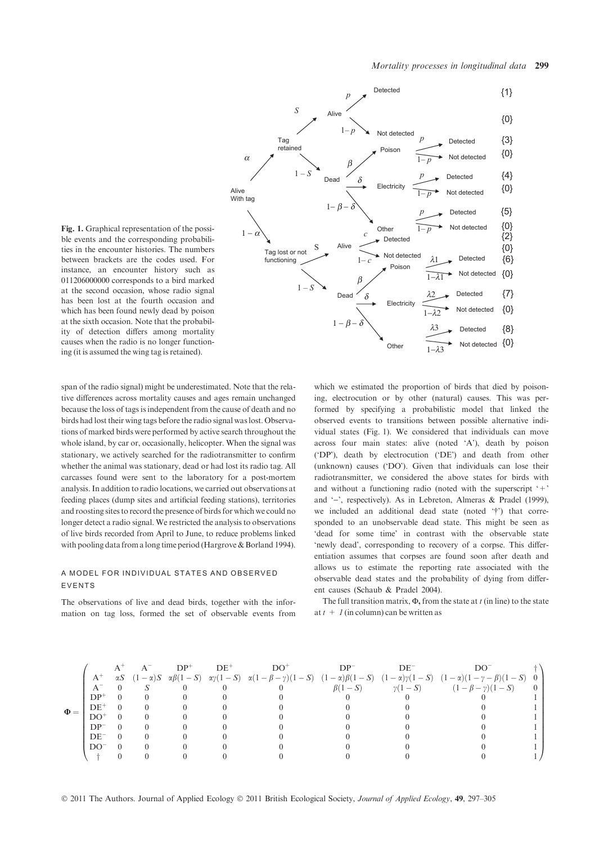

Fig. 1. Graphical representation of the possible events and the corresponding probabilities in the encounter histories. The numbers between brackets are the codes used. For instance, an encounter history such as 011206000000 corresponds to a bird marked at the second occasion, whose radio signal has been lost at the fourth occasion and which has been found newly dead by poison at the sixth occasion. Note that the probability of detection differs among mortality causes when the radio is no longer functioning (it is assumed the wing tag is retained).

span of the radio signal) might be underestimated. Note that the relative differences across mortality causes and ages remain unchanged because the loss of tags is independent from the cause of death and no birds had lost their wing tags before the radio signal was lost. Observations of marked birds were performed by active search throughout the whole island, by car or, occasionally, helicopter. When the signal was stationary, we actively searched for the radiotransmitter to confirm whether the animal was stationary, dead or had lost its radio tag. All carcasses found were sent to the laboratory for a post-mortem analysis. In addition to radio locations, we carried out observations at feeding places (dump sites and artificial feeding stations), territories and roosting sites to record the presence of birds for which we could no longer detect a radio signal. We restricted the analysis to observations of live birds recorded from April to June, to reduce problems linked with pooling data from a long time period (Hargrove & Borland 1994).

## A MODEL FOR INDIVIDUAL STATES AND OBSERVED EVENTS

The observations of live and dead birds, together with the information on tag loss, formed the set of observable events from which we estimated the proportion of birds that died by poisoning, electrocution or by other (natural) causes. This was performed by specifying a probabilistic model that linked the observed events to transitions between possible alternative individual states (Fig. 1). We considered that individuals can move across four main states: alive (noted 'A'), death by poison ('DP'), death by electrocution ('DE') and death from other (unknown) causes ('DO'). Given that individuals can lose their radiotransmitter, we considered the above states for birds with and without a functioning radio (noted with the superscript '+' and '-', respectively). As in Lebreton, Almeras & Pradel (1999), we included an additional dead state (noted '†') that corresponded to an unobservable dead state. This might be seen as 'dead for some time' in contrast with the observable state 'newly dead', corresponding to recovery of a corpse. This differentiation assumes that corpses are found soon after death and allows us to estimate the reporting rate associated with the observable dead states and the probability of dying from different causes (Schaub & Pradel 2004).

The full transition matrix,  $\Phi$ , from the state at t (in line) to the state at  $t+1$  (in column) can be written as

|          |                 |  | $DP+$ | $DE^+$ | ־מח |              | DE            |                                                                                                                                                                                  |  |
|----------|-----------------|--|-------|--------|-----|--------------|---------------|----------------------------------------------------------------------------------------------------------------------------------------------------------------------------------|--|
| $\Phi =$ | $A^+$           |  |       |        |     |              |               | $\alpha S$ $(1-\alpha)S$ $\alpha\beta(1-S)$ $\alpha\gamma(1-S)$ $\alpha(1-\beta-\gamma)(1-S)$ $(1-\alpha)\beta(1-S)$ $(1-\alpha)\gamma(1-S)$ $(1-\alpha)(1-\gamma-\beta)(1-S)$ 0 |  |
|          |                 |  |       |        |     | $\beta(1-S)$ | $\gamma(1-S)$ | $(1 - \beta - \gamma)(1 - S)$                                                                                                                                                    |  |
|          | $DP^+$          |  |       |        |     |              |               |                                                                                                                                                                                  |  |
|          | $DE^+$          |  |       |        |     |              |               |                                                                                                                                                                                  |  |
|          | DO+             |  |       |        |     |              |               |                                                                                                                                                                                  |  |
|          | DP <sup>-</sup> |  |       |        |     |              |               |                                                                                                                                                                                  |  |
|          | $DE^-$          |  |       |        |     |              |               |                                                                                                                                                                                  |  |
|          | DO              |  |       |        |     |              |               |                                                                                                                                                                                  |  |
|          |                 |  |       |        |     |              |               |                                                                                                                                                                                  |  |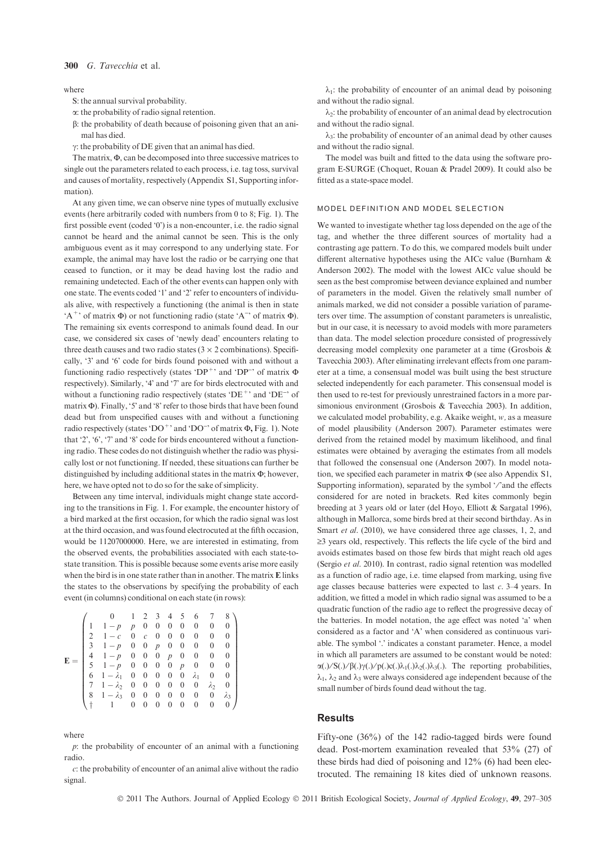### 300 G. Tayecchia et al.

#### where

S: the annual survival probability.

a: the probability of radio signal retention.

b: the probability of death because of poisoning given that an animal has died.

 $\gamma$ : the probability of DE given that an animal has died.

The matrix,  $\Phi$ , can be decomposed into three successive matrices to single out the parameters related to each process, i.e. tag toss, survival and causes of mortality, respectively (Appendix S1, Supporting information).

At any given time, we can observe nine types of mutually exclusive events (here arbitrarily coded with numbers from 0 to 8; Fig. 1). The first possible event (coded '0') is a non-encounter, i.e. the radio signal cannot be heard and the animal cannot be seen. This is the only ambiguous event as it may correspond to any underlying state. For example, the animal may have lost the radio or be carrying one that ceased to function, or it may be dead having lost the radio and remaining undetected. Each of the other events can happen only with one state. The events coded '1' and '2' refer to encounters of individuals alive, with respectively a functioning (the animal is then in state 'A<sup>+</sup>' of matrix  $\Phi$ ) or not functioning radio (state 'A<sup>-</sup>' of matrix  $\Phi$ ). The remaining six events correspond to animals found dead. In our case, we considered six cases of 'newly dead' encounters relating to three death causes and two radio states ( $3 \times 2$  combinations). Specifically, '3' and '6' code for birds found poisoned with and without a functioning radio respectively (states 'DP<sup>+</sup>' and 'DP<sup>-'</sup> of matrix  $\Phi$ respectively). Similarly, '4' and '7' are for birds electrocuted with and without a functioning radio respectively (states 'DE<sup>+</sup>' and 'DE<sup>-</sup>' of matrix  $\Phi$ ). Finally, '5' and '8' refer to those birds that have been found dead but from unspecified causes with and without a functioning radio respectively (states 'DO<sup>+</sup>' and 'DO<sup>-</sup>' of matrix  $\Phi$ , Fig. 1). Note that '2', '6', '7' and '8' code for birds encountered without a functioning radio. These codes do not distinguish whether the radio was physically lost or not functioning. If needed, these situations can further be distinguished by including additional states in the matrix  $\Phi$ ; however, here, we have opted not to do so for the sake of simplicity.

Between any time interval, individuals might change state according to the transitions in Fig. 1. For example, the encounter history of a bird marked at the first occasion, for which the radio signal was lost at the third occasion, and was found electrocuted at the fifth occasion, would be 11207000000. Here, we are interested in estimating, from the observed events, the probabilities associated with each state-tostate transition. This is possible because some events arise more easily when the bird is in one state rather than in another. The matrix E links the states to the observations by specifying the probability of each event (in columns) conditional on each state (in rows):

| $E =$ | 2<br>3<br>4<br>5<br>6 | $1-p$<br>$1-c$<br>$1-p$<br>$1-p$ 0 0<br>$1-p$ 0 0<br>$1 - \lambda_1$ 0 0<br>$1 - \lambda_2$ 0 0 | 1<br>p<br>$\overline{0}$<br>$\overline{0}$ | $\overline{0}$<br>$\mathcal{C}$<br>$\overline{0}$ | $\overline{0}$<br>$\overline{0}$<br>$\overline{p}$<br>$\overline{0}$<br>$\overline{0}$<br>$\overline{0}$<br>$\overline{0}$ | $\overline{0}$<br>$\boldsymbol{0}$<br>$\overline{0}$<br>$p \quad 0$<br>$\overline{0}$<br>$\overline{0}$<br>$\overline{0}$ | 2 3 4 5<br>$\mathbf{0}$<br>$\mathbf{0}$<br>$\overline{0}$<br>$\boldsymbol{p}$<br>$\overline{0}$<br>$\overline{0}$ | 6<br>$\boldsymbol{0}$<br>$\theta$<br>$\boldsymbol{0}$<br>$\boldsymbol{0}$<br>$\theta$<br>$\lambda_1$<br>$\boldsymbol{0}$ | 7<br>$\boldsymbol{0}$<br>$\mathbf{0}$<br>0<br>$\boldsymbol{0}$<br>$\mathbf{0}$<br>$\boldsymbol{0}$<br>$\lambda_2$ | 8<br>$\theta$<br>0<br>$\theta$<br>$\theta$<br>$\theta$<br>$\theta$<br>$\theta$ |
|-------|-----------------------|-------------------------------------------------------------------------------------------------|--------------------------------------------|---------------------------------------------------|----------------------------------------------------------------------------------------------------------------------------|---------------------------------------------------------------------------------------------------------------------------|-------------------------------------------------------------------------------------------------------------------|--------------------------------------------------------------------------------------------------------------------------|-------------------------------------------------------------------------------------------------------------------|--------------------------------------------------------------------------------|
|       |                       | 8 $1 - \lambda_3$ 0                                                                             | 0                                          | $\overline{0}$<br>$\theta$                        | $\overline{0}$<br>$\theta$                                                                                                 | $\overline{0}$<br>$\overline{0}$                                                                                          | $\overline{0}$<br>$\theta$                                                                                        | $\overline{0}$<br>$\theta$                                                                                               | $\boldsymbol{0}$<br>0                                                                                             | $\lambda_3$                                                                    |

where

 $p$ : the probability of encounter of an animal with a functioning radio.

c: the probability of encounter of an animal alive without the radio signal.

 $\lambda_1$ : the probability of encounter of an animal dead by poisoning and without the radio signal.

 $\lambda_2$ : the probability of encounter of an animal dead by electrocution and without the radio signal.

 $\lambda_3$ : the probability of encounter of an animal dead by other causes and without the radio signal.

The model was built and fitted to the data using the software program E-SURGE (Choquet, Rouan & Pradel 2009). It could also be fitted as a state-space model.

#### MODEL DEFINITION AND MODEL SELECTION

We wanted to investigate whether tag loss depended on the age of the tag, and whether the three different sources of mortality had a contrasting age pattern. To do this, we compared models built under different alternative hypotheses using the AICc value (Burnham & Anderson 2002). The model with the lowest AICc value should be seen as the best compromise between deviance explained and number of parameters in the model. Given the relatively small number of animals marked, we did not consider a possible variation of parameters over time. The assumption of constant parameters is unrealistic, but in our case, it is necessary to avoid models with more parameters than data. The model selection procedure consisted of progressively decreasing model complexity one parameter at a time (Grosbois & Tavecchia 2003). After eliminating irrelevant effects from one parameter at a time, a consensual model was built using the best structure selected independently for each parameter. This consensual model is then used to re-test for previously unrestrained factors in a more parsimonious environment (Grosbois & Tavecchia 2003). In addition, we calculated model probability, e.g. Akaike weight, w, as a measure of model plausibility (Anderson 2007). Parameter estimates were derived from the retained model by maximum likelihood, and final estimates were obtained by averaging the estimates from all models that followed the consensual one (Anderson 2007). In model notation, we specified each parameter in matrix  $\Phi$  (see also Appendix S1, Supporting information), separated by the symbol '/'and the effects considered for are noted in brackets. Red kites commonly begin breeding at 3 years old or later (del Hoyo, Elliott & Sargatal 1996), although in Mallorca, some birds bred at their second birthday. As in Smart et al. (2010), we have considered three age classes, 1, 2, and  $\geq$ 3 years old, respectively. This reflects the life cycle of the bird and avoids estimates based on those few birds that might reach old ages (Sergio et al. 2010). In contrast, radio signal retention was modelled as a function of radio age, i.e. time elapsed from marking, using five age classes because batteries were expected to last c. 3–4 years. In addition, we fitted a model in which radio signal was assumed to be a quadratic function of the radio age to reflect the progressive decay of the batteries. In model notation, the age effect was noted 'a' when considered as a factor and 'A' when considered as continuous variable. The symbol '.' indicates a constant parameter. Hence, a model in which all parameters are assumed to be constant would be noted:  $\alpha(.)/S(.)/ \beta(.)\gamma(.)/p(.)c.)\lambda_1(.)\lambda_2(.)\lambda_3(.)$ . The reporting probabilities,  $\lambda_1$ ,  $\lambda_2$  and  $\lambda_3$  were always considered age independent because of the small number of birds found dead without the tag.

## **Results**

Fifty-one (36%) of the 142 radio-tagged birds were found dead. Post-mortem examination revealed that 53% (27) of these birds had died of poisoning and 12% (6) had been electrocuted. The remaining 18 kites died of unknown reasons.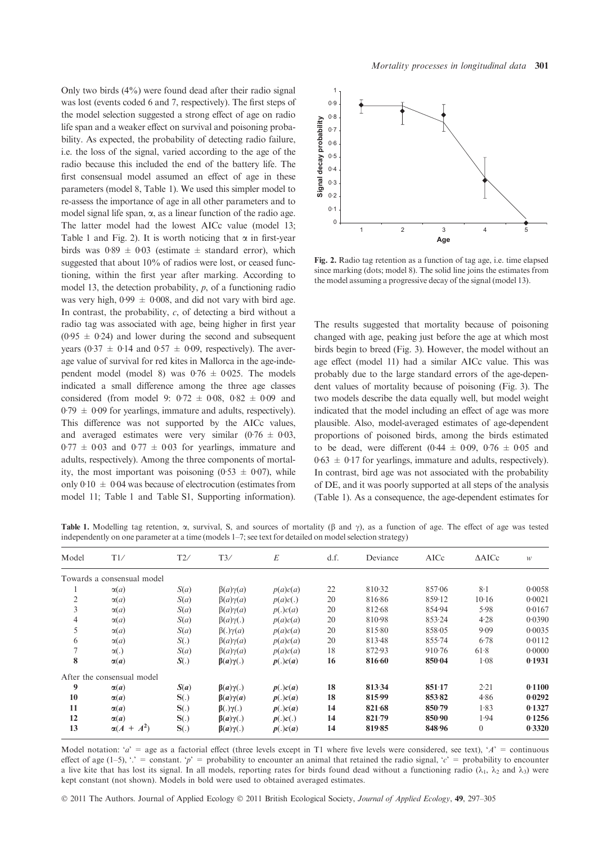Only two birds  $(4\%)$  were found dead after their radio signal was lost (events coded 6 and 7, respectively). The first steps of the model selection suggested a strong effect of age on radio life span and a weaker effect on survival and poisoning probability. As expected, the probability of detecting radio failure, i.e. the loss of the signal, varied according to the age of the radio because this included the end of the battery life. The first consensual model assumed an effect of age in these parameters (model 8, Table 1). We used this simpler model to re-assess the importance of age in all other parameters and to model signal life span,  $\alpha$ , as a linear function of the radio age. The latter model had the lowest AICc value (model 13; Table 1 and Fig. 2). It is worth noticing that  $\alpha$  in first-year birds was  $0.89 \pm 0.03$  (estimate  $\pm$  standard error), which suggested that about 10% of radios were lost, or ceased functioning, within the first year after marking. According to model 13, the detection probability, p, of a functioning radio was very high,  $0.99 \pm 0.008$ , and did not vary with bird age. In contrast, the probability,  $c$ , of detecting a bird without a radio tag was associated with age, being higher in first year  $(0.95 \pm 0.24)$  and lower during the second and subsequent years (0.37  $\pm$  0.14 and 0.57  $\pm$  0.09, respectively). The average value of survival for red kites in Mallorca in the age-independent model (model 8) was  $0.76 \pm 0.025$ . The models indicated a small difference among the three age classes considered (from model 9:  $0.72 \pm 0.08$ ,  $0.82 \pm 0.09$  and  $0.79 \pm 0.09$  for yearlings, immature and adults, respectively). This difference was not supported by the AICc values, and averaged estimates were very similar  $(0.76 \pm 0.03,$  $0.77 \pm 0.03$  and  $0.77 \pm 0.03$  for yearlings, immature and adults, respectively). Among the three components of mortality, the most important was poisoning (0.53  $\pm$  0.07), while only  $0.10 \pm 0.04$  was because of electrocution (estimates from model 11; Table 1 and Table S1, Supporting information).



Fig. 2. Radio tag retention as a function of tag age, i.e. time elapsed since marking (dots; model 8). The solid line joins the estimates from the model assuming a progressive decay of the signal (model 13).

The results suggested that mortality because of poisoning changed with age, peaking just before the age at which most birds begin to breed (Fig. 3). However, the model without an age effect (model 11) had a similar AICc value. This was probably due to the large standard errors of the age-dependent values of mortality because of poisoning (Fig. 3). The two models describe the data equally well, but model weight indicated that the model including an effect of age was more plausible. Also, model-averaged estimates of age-dependent proportions of poisoned birds, among the birds estimated to be dead, were different (0.44  $\pm$  0.09, 0.76  $\pm$  0.05 and  $0.63 \pm 0.17$  for yearlings, immature and adults, respectively). In contrast, bird age was not associated with the probability of DE, and it was poorly supported at all steps of the analysis (Table 1). As a consequence, the age-dependent estimates for

Table 1. Modelling tag retention,  $\alpha$ , survival, S, and sources of mortality ( $\beta$  and  $\gamma$ ), as a function of age. The effect of age was tested independently on one parameter at a time (models 1–7; see text for detailed on model selection strategy)

| Model          | T1/                        | T2/  | T3/                 | E        | d.f. | Deviance | AICc       | $\triangle$ AICc | W      |
|----------------|----------------------------|------|---------------------|----------|------|----------|------------|------------------|--------|
|                | Towards a consensual model |      |                     |          |      |          |            |                  |        |
|                | $\alpha(a)$                | S(a) | $\beta(a)\gamma(a)$ | p(a)c(a) | 22   | 810.32   | 857.06     | $8-1$            | 0.0058 |
| $\overline{c}$ | $\alpha(a)$                | S(a) | $\beta(a)\gamma(a)$ | p(a)c(.) | 20   | 816.86   | 859.12     | 10.16            | 0.0021 |
| 3              | $\alpha(a)$                | S(a) | $\beta(a)\gamma(a)$ | p(.)c(a) | 20   | 812.68   | 854.94     | 5.98             | 0.0167 |
| 4              | $\alpha(a)$                | S(a) | $\beta(a)\gamma(.)$ | p(a)c(a) | 20   | 810.98   | 853.24     | 4.28             | 0.0390 |
| 5              | $\alpha(a)$                | S(a) | $\beta(.)\gamma(a)$ | p(a)c(a) | 20   | 815.80   | 858.05     | 9.09             | 0.0035 |
| 6              | $\alpha(a)$                | S(.) | $\beta(a)\gamma(a)$ | p(a)c(a) | 20   | 813.48   | 855.74     | 6.78             | 0.0112 |
| 7              | $\alpha(.)$                | S(a) | $\beta(a)\gamma(a)$ | p(a)c(a) | 18   | 872.93   | $910 - 76$ | 61.8             | 0.0000 |
| 8              | $\alpha(a)$                | S(.) | $\beta(a)\gamma(.)$ | p(.)c(a) | 16   | 816.60   | 850.04     | 1.08             | 0.1931 |
|                | After the consensual model |      |                     |          |      |          |            |                  |        |
| 9              | $\alpha(a)$                | S(a) | $\beta(a)\gamma(.)$ | p(.)c(a) | 18   | 813.34   | 851.17     | 2.21             | 0.1100 |
| 10             | $\alpha(a)$                | S(.) | $\beta(a)\gamma(a)$ | p(.)c(a) | 18   | 815.99   | 853.82     | 4.86             | 0.0292 |
| 11             | $\alpha(a)$                | S(.) | $\beta(.)\gamma(.)$ | p(.)c(a) | 14   | 821.68   | 850.79     | 1.83             | 0.1327 |
| 12             | $\alpha(a)$                | S(.) | $\beta(a)\gamma(.)$ | p(.)c(.) | 14   | 821.79   | 850.90     | 1.94             | 0.1256 |
| 13             | $A^2$<br>$\alpha(A +$      | S(.) | $\beta(a)\gamma(.)$ | p(.)c(a) | 14   | 819.85   | 848.96     | $\theta$         | 0.3320 |

Model notation: 'a' = age as a factorial effect (three levels except in T1 where five levels were considered, see text), 'A' = continuous effect of age (1–5), " $\cdot$  = constant. 'p' = probability to encounter an animal that retained the radio signal, 'c' = probability to encounter a live kite that has lost its signal. In all models, reporting rates for birds found dead without a functioning radio ( $\lambda_1$ ,  $\lambda_2$  and  $\lambda_3$ ) were kept constant (not shown). Models in bold were used to obtained averaged estimates.

© 2011 The Authors. Journal of Applied Ecology © 2011 British Ecological Society, Journal of Applied Ecology, 49, 297–305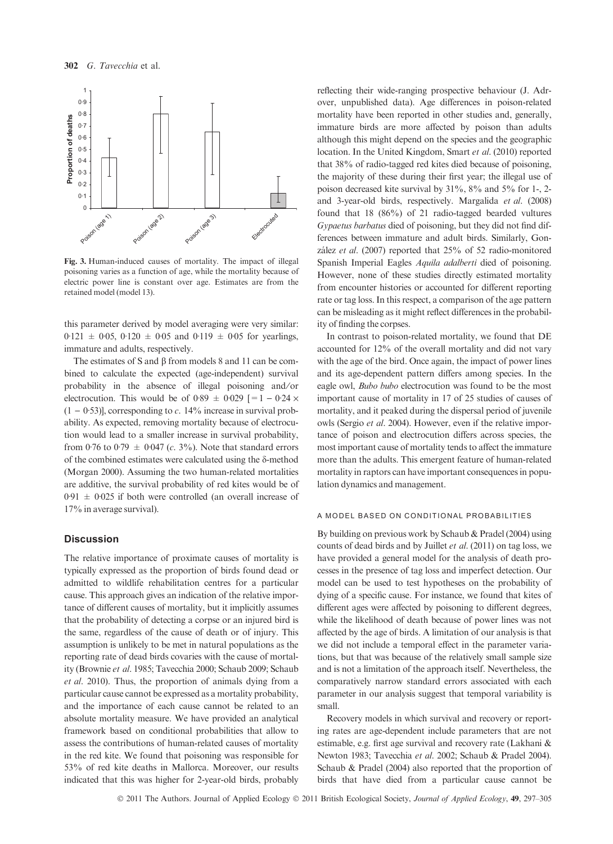

Fig. 3. Human-induced causes of mortality. The impact of illegal poisoning varies as a function of age, while the mortality because of electric power line is constant over age. Estimates are from the retained model (model 13).

this parameter derived by model averaging were very similar:  $0.121 \pm 0.05$ ,  $0.120 \pm 0.05$  and  $0.119 \pm 0.05$  for yearlings, immature and adults, respectively.

The estimates of S and  $\beta$  from models 8 and 11 can be combined to calculate the expected (age-independent) survival probability in the absence of illegal poisoning and ⁄or electrocution. This would be of 0.89  $\pm$  0.029 [=1 – 0.24  $\times$  $(1 - 0.53)$ ], corresponding to c. 14% increase in survival probability. As expected, removing mortality because of electrocution would lead to a smaller increase in survival probability, from 0.76 to 0.79  $\pm$  0.047 (c. 3%). Note that standard errors of the combined estimates were calculated using the  $\delta$ -method (Morgan 2000). Assuming the two human-related mortalities are additive, the survival probability of red kites would be of  $0.91 \pm 0.025$  if both were controlled (an overall increase of 17% in average survival).

## **Discussion**

The relative importance of proximate causes of mortality is typically expressed as the proportion of birds found dead or admitted to wildlife rehabilitation centres for a particular cause. This approach gives an indication of the relative importance of different causes of mortality, but it implicitly assumes that the probability of detecting a corpse or an injured bird is the same, regardless of the cause of death or of injury. This assumption is unlikely to be met in natural populations as the reporting rate of dead birds covaries with the cause of mortality (Brownie et al. 1985; Tavecchia 2000; Schaub 2009; Schaub et al. 2010). Thus, the proportion of animals dying from a particular cause cannot be expressed as a mortality probability, and the importance of each cause cannot be related to an absolute mortality measure. We have provided an analytical framework based on conditional probabilities that allow to assess the contributions of human-related causes of mortality in the red kite. We found that poisoning was responsible for 53% of red kite deaths in Mallorca. Moreover, our results indicated that this was higher for 2-year-old birds, probably reflecting their wide-ranging prospective behaviour (J. Adrover, unpublished data). Age differences in poison-related mortality have been reported in other studies and, generally, immature birds are more affected by poison than adults although this might depend on the species and the geographic location. In the United Kingdom, Smart et al. (2010) reported that 38% of radio-tagged red kites died because of poisoning, the majority of these during their first year; the illegal use of poison decreased kite survival by 31%, 8% and 5% for 1-, 2 and 3-year-old birds, respectively. Margalida et al. (2008) found that 18 (86%) of 21 radio-tagged bearded vultures Gypaetus barbatus died of poisoning, but they did not find differences between immature and adult birds. Similarly, González et al. (2007) reported that  $25\%$  of 52 radio-monitored Spanish Imperial Eagles Aquila adalberti died of poisoning. However, none of these studies directly estimated mortality from encounter histories or accounted for different reporting rate or tag loss. In this respect, a comparison of the age pattern can be misleading as it might reflect differences in the probability of finding the corpses.

In contrast to poison-related mortality, we found that DE accounted for 12% of the overall mortality and did not vary with the age of the bird. Once again, the impact of power lines and its age-dependent pattern differs among species. In the eagle owl, Bubo bubo electrocution was found to be the most important cause of mortality in 17 of 25 studies of causes of mortality, and it peaked during the dispersal period of juvenile owls (Sergio et al. 2004). However, even if the relative importance of poison and electrocution differs across species, the most important cause of mortality tends to affect the immature more than the adults. This emergent feature of human-related mortality in raptors can have important consequences in population dynamics and management.

#### A MODEL BASED ON CONDITIONAL PROBABILITIES

By building on previous work by Schaub & Pradel (2004) using counts of dead birds and by Juillet et al. (2011) on tag loss, we have provided a general model for the analysis of death processes in the presence of tag loss and imperfect detection. Our model can be used to test hypotheses on the probability of dying of a specific cause. For instance, we found that kites of different ages were affected by poisoning to different degrees, while the likelihood of death because of power lines was not affected by the age of birds. A limitation of our analysis is that we did not include a temporal effect in the parameter variations, but that was because of the relatively small sample size and is not a limitation of the approach itself. Nevertheless, the comparatively narrow standard errors associated with each parameter in our analysis suggest that temporal variability is small.

Recovery models in which survival and recovery or reporting rates are age-dependent include parameters that are not estimable, e.g. first age survival and recovery rate (Lakhani & Newton 1983; Tavecchia et al. 2002; Schaub & Pradel 2004). Schaub & Pradel (2004) also reported that the proportion of birds that have died from a particular cause cannot be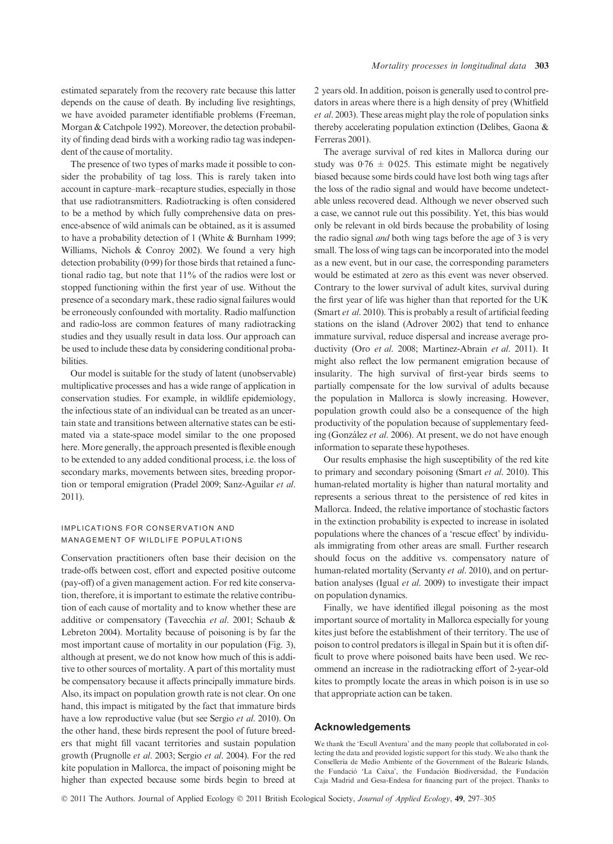estimated separately from the recovery rate because this latter depends on the cause of death. By including live resightings, we have avoided parameter identifiable problems (Freeman, Morgan & Catchpole 1992). Moreover, the detection probability of finding dead birds with a working radio tag was independent of the cause of mortality.

The presence of two types of marks made it possible to consider the probability of tag loss. This is rarely taken into account in capture–mark–recapture studies, especially in those that use radiotransmitters. Radiotracking is often considered to be a method by which fully comprehensive data on presence-absence of wild animals can be obtained, as it is assumed to have a probability detection of 1 (White & Burnham 1999; Williams, Nichols & Conroy 2002). We found a very high detection probability  $(0.99)$  for those birds that retained a functional radio tag, but note that 11% of the radios were lost or stopped functioning within the first year of use. Without the presence of a secondary mark, these radio signal failures would be erroneously confounded with mortality. Radio malfunction and radio-loss are common features of many radiotracking studies and they usually result in data loss. Our approach can be used to include these data by considering conditional probabilities.

Our model is suitable for the study of latent (unobservable) multiplicative processes and has a wide range of application in conservation studies. For example, in wildlife epidemiology, the infectious state of an individual can be treated as an uncertain state and transitions between alternative states can be estimated via a state-space model similar to the one proposed here. More generally, the approach presented is flexible enough to be extended to any added conditional process, i.e. the loss of secondary marks, movements between sites, breeding proportion or temporal emigration (Pradel 2009; Sanz-Aguilar et al. 2011).

## IMPLICATIONS FOR CONSERVATION AND MANAGEMENT OF WILDLIFE POPULATIONS

Conservation practitioners often base their decision on the trade-offs between cost, effort and expected positive outcome (pay-off) of a given management action. For red kite conservation, therefore, it is important to estimate the relative contribution of each cause of mortality and to know whether these are additive or compensatory (Tavecchia et al. 2001; Schaub & Lebreton 2004). Mortality because of poisoning is by far the most important cause of mortality in our population (Fig. 3), although at present, we do not know how much of this is additive to other sources of mortality. A part of this mortality must be compensatory because it affects principally immature birds. Also, its impact on population growth rate is not clear. On one hand, this impact is mitigated by the fact that immature birds have a low reproductive value (but see Sergio et al. 2010). On the other hand, these birds represent the pool of future breeders that might fill vacant territories and sustain population growth (Prugnolle et al. 2003; Sergio et al. 2004). For the red kite population in Mallorca, the impact of poisoning might be higher than expected because some birds begin to breed at 2 years old. In addition, poison is generally used to control predators in areas where there is a high density of prey (Whitfield et al. 2003). These areas might play the role of population sinks thereby accelerating population extinction (Delibes, Gaona & Ferreras 2001).

The average survival of red kites in Mallorca during our study was  $0.76 \pm 0.025$ . This estimate might be negatively biased because some birds could have lost both wing tags after the loss of the radio signal and would have become undetectable unless recovered dead. Although we never observed such a case, we cannot rule out this possibility. Yet, this bias would only be relevant in old birds because the probability of losing the radio signal and both wing tags before the age of 3 is very small. The loss of wing tags can be incorporated into the model as a new event, but in our case, the corresponding parameters would be estimated at zero as this event was never observed. Contrary to the lower survival of adult kites, survival during the first year of life was higher than that reported for the UK (Smart et al. 2010). This is probably a result of artificial feeding stations on the island (Adrover 2002) that tend to enhance immature survival, reduce dispersal and increase average productivity (Oro et al. 2008; Martinez-Abrain et al. 2011). It might also reflect the low permanent emigration because of insularity. The high survival of first-year birds seems to partially compensate for the low survival of adults because the population in Mallorca is slowly increasing. However, population growth could also be a consequence of the high productivity of the population because of supplementary feeding (González et al. 2006). At present, we do not have enough information to separate these hypotheses.

Our results emphasise the high susceptibility of the red kite to primary and secondary poisoning (Smart et al. 2010). This human-related mortality is higher than natural mortality and represents a serious threat to the persistence of red kites in Mallorca. Indeed, the relative importance of stochastic factors in the extinction probability is expected to increase in isolated populations where the chances of a 'rescue effect' by individuals immigrating from other areas are small. Further research should focus on the additive vs. compensatory nature of human-related mortality (Servanty et al. 2010), and on perturbation analyses (Igual et al. 2009) to investigate their impact on population dynamics.

Finally, we have identified illegal poisoning as the most important source of mortality in Mallorca especially for young kites just before the establishment of their territory. The use of poison to control predators is illegal in Spain but it is often difficult to prove where poisoned baits have been used. We recommend an increase in the radiotracking effort of 2-year-old kites to promptly locate the areas in which poison is in use so that appropriate action can be taken.

## Acknowledgements

We thank the 'Escull Aventura' and the many people that collaborated in collecting the data and provided logistic support for this study. We also thank the Conselleria de Medio Ambiente of the Government of the Balearic Islands, the Fundació 'La Caixa', the Fundación Biodiversidad, the Fundación Caja Madrid and Gesa-Endesa for financing part of the project. Thanks to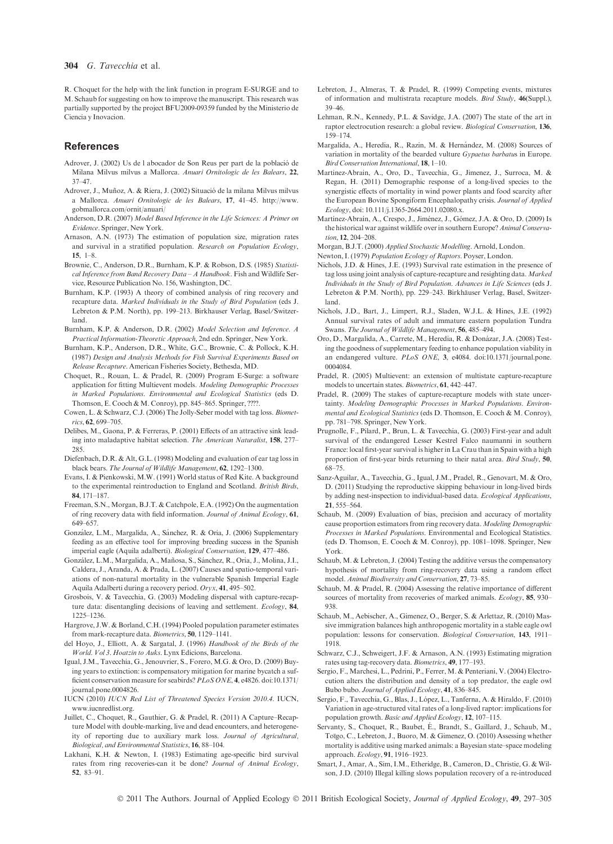R. Choquet for the help with the link function in program E-SURGE and to M. Schaub for suggesting on how to improve the manuscript. This research was partially supported by the project BFU2009-09359 funded by the Ministerio de Ciencia y Inovacion.

## References

- Adrover, J. (2002) Us de l abocador de Son Reus per part de la població de Milana Milvus milvus a Mallorca. Anuari Ornitologic de les Balears, 22, 37–47.
- Adrover, J., Muñoz, A. & Riera, J. (2002) Situació de la milana Milvus milvus a Mallorca. Anuari Ornitologic de les Balears, 17, 41–45. http://www. gobmallorca.com/ornit/anuari/
- Anderson, D.R. (2007) Model Based Inference in the Life Sciences: A Primer on Evidence. Springer, New York.
- Arnason, A.N. (1973) The estimation of population size, migration rates and survival in a stratified population. Research on Population Ecology, 15, 1–8.
- Brownie, C., Anderson, D.R., Burnham, K.P. & Robson, D.S. (1985) Statistical Inference from Band Recovery Data – A Handbook. Fish and Wildlife Service, Resource Publication No. 156, Washington, DC.
- Burnham, K.P. (1993) A theory of combined analysis of ring recovery and recapture data. Marked Individuals in the Study of Bird Population (eds J. Lebreton & P.M. North), pp. 199-213. Birkhauser Verlag, Basel/Switzerland.
- Burnham, K.P. & Anderson, D.R. (2002) Model Selection and Inference. A Practical Information-Theoretic Approach, 2nd edn. Springer, New York.
- Burnham, K.P., Anderson, D.R., White, G.C., Brownie, C. & Pollock, K.H. (1987) Design and Analysis Methods for Fish Survival Experiments Based on Release Recapture. American Fisheries Society, Bethesda, MD.
- Choquet, R., Rouan, L. & Pradel, R. (2009) Program E-Surge: a software application for fitting Multievent models. Modeling Demographic Processes in Marked Populations. Environmental and Ecological Statistics (eds D. Thomson, E. Cooch & M. Conroy), pp. 845–865. Springer, ????.
- Cowen, L. & Schwarz, C.J. (2006) The Jolly-Seber model with tag loss. Biometrics, 62, 699–705.
- Delibes, M., Gaona, P. & Ferreras, P. (2001) Effects of an attractive sink leading into maladaptive habitat selection. The American Naturalist, 158, 277– 285.
- Diefenbach, D.R. & Alt, G.L. (1998) Modeling and evaluation of ear tag loss in black bears. The Journal of Wildlife Management, 62, 1292–1300.
- Evans, I. & Pienkowski, M.W. (1991) World status of Red Kite. A background to the experimental reintroduction to England and Scotland. British Birds, 84, 171–187.
- Freeman, S.N., Morgan, B.J.T. & Catchpole, E.A. (1992) On the augmentation of ring recovery data with field information. Journal of Animal Ecology, 61, 649–657.
- González, L.M., Margalida, A., Sánchez, R. & Oria, J. (2006) Supplementary feeding as an effective tool for improving breeding success in the Spanish imperial eagle (Aquila adalberti). Biological Conservation, 129, 477–486.
- González, L.M., Margalida, A., Mañosa, S., Sánchez, R., Oria, J., Molina, J.I., Caldera, J., Aranda, A. & Prada, L. (2007) Causes and spatio-temporal variations of non-natural mortality in the vulnerable Spanish Imperial Eagle Aquila Adalberti during a recovery period. Oryx, 41, 495–502.
- Grosbois, V. & Tavecchia, G. (2003) Modeling dispersal with capture-recapture data: disentangling decisions of leaving and settlement. Ecology, 84, 1225–1236.
- Hargrove, J.W. & Borland, C.H. (1994) Pooled population parameter estimates from mark-recapture data. Biometrics, 50, 1129–1141.
- del Hoyo, J., Elliott, A. & Sargatal, J. (1996) Handbook of the Birds of the World. Vol 3. Hoatzin to Auks. Lynx Edicions, Barcelona.
- Igual, J.M., Tavecchia, G., Jenouvrier, S., Forero, M.G. & Oro, D. (2009) Buying years to extinction: is compensatory mitigation for marine bycatch a sufficient conservation measure for seabirds? PLoS ONE, 4, e4826. doi:10.1371/ journal.pone.0004826.
- IUCN (2010) IUCN Red List of Threatened Species Version 2010.4. IUCN, www.iucnredlist.org.
- Juillet, C., Choquet, R., Gauthier, G. & Pradel, R. (2011) A Capture–Recapture Model with double-marking, live and dead encounters, and heterogeneity of reporting due to auxiliary mark loss. Journal of Agricultural, Biological, and Environmental Statistics, 16, 88–104.
- Lakhani, K.H. & Newton, I. (1983) Estimating age-specific bird survival rates from ring recoveries-can it be done? Journal of Animal Ecology, 52, 83–91.
- Lebreton, J., Almeras, T. & Pradel, R. (1999) Competing events, mixtures of information and multistrata recapture models. Bird Study, 46(Suppl.), 39–46.
- Lehman, R.N., Kennedy, P.L. & Savidge, J.A. (2007) The state of the art in raptor electrocution research: a global review. Biological Conservation, 136, 159–174.
- Margalida, A., Heredia, R., Razin, M. & Hernández, M. (2008) Sources of variation in mortality of the bearded vulture Gypaetus barbatus in Europe. Bird Conservation International, 18, 1–10.
- Martinez-Abrain, A., Oro, D., Tavecchia, G., Jimenez, J., Surroca, M. & Regan, H. (2011) Demographic response of a long-lived species to the synergistic effects of mortality in wind power plants and food scarcity after the European Bovine Spongiform Encephalopathy crisis. Journal of Applied Ecology, doi: 10.111/j.1365-2664.2011.02080.x.
- Martínez-Abraín, A., Crespo, J., Jiménez, J., Gómez, J.A. & Oro, D. (2009) Is the historical war against wildlife over in southern Europe? Animal Conservation, 12, 204–208.
- Morgan, B.J.T. (2000) Applied Stochastic Modelling. Arnold, London.
- Newton, I. (1979) Population Ecology of Raptors. Poyser, London.
- Nichols, J.D. & Hines, J.E. (1993) Survival rate estimation in the presence of tag loss using joint analysis of capture-recapture and resighting data. Marked Individuals in the Study of Bird Population. Advances in Life Sciences (eds J. Lebreton & P.M. North), pp. 229–243. Birkhäuser Verlag, Basel, Switzerland.
- Nichols, J.D., Bart, J., Limpert, R.J., Sladen, W.J.L. & Hines, J.E. (1992) Annual survival rates of adult and immature eastern population Tundra Swans. The Journal of Wildlife Management, 56, 485–494.
- Oro, D., Margalida, A., Carrete, M., Heredia, R. & Dona´zar, J.A. (2008) Testing the goodness of supplementary feeding to enhance population viability in an endangered vulture. PLoS ONE, 3, e4084. doi:10.1371/journal.pone. 0004084.
- Pradel, R. (2005) Multievent: an extension of multistate capture-recapture models to uncertain states. Biometrics, 61, 442–447.
- Pradel, R. (2009) The stakes of capture-recapture models with state uncertainty. Modeling Demographic Processes in Marked Populations. Environmental and Ecological Statistics (eds D. Thomson, E. Cooch & M. Conroy), pp. 781–798. Springer, New York.
- Prugnolle, F., Pilard, P., Brun, L. & Tavecchia, G. (2003) First-year and adult survival of the endangered Lesser Kestrel Falco naumanni in southern France: local first-year survival is higher in La Crau than in Spain with a high proportion of first-year birds returning to their natal area. Bird Study, 50, 68–75.
- Sanz-Aguilar, A., Tavecchia, G., Igual, J.M., Pradel, R., Genovart, M. & Oro, D. (2011) Studying the reproductive skipping behaviour in long-lived birds by adding nest-inspection to individual-based data. Ecological Applications, 21, 555–564.
- Schaub, M. (2009) Evaluation of bias, precision and accuracy of mortality cause proportion estimators from ring recovery data. Modeling Demographic Processes in Marked Populations. Environmental and Ecological Statistics. (eds D. Thomson, E. Cooch & M. Conroy), pp. 1081–1098. Springer, New York.
- Schaub, M. & Lebreton, J. (2004) Testing the additive versus the compensatory hypothesis of mortality from ring-recovery data using a random effect model. Animal Biodiversity and Conservation, 27, 73–85.
- Schaub, M. & Pradel, R. (2004) Assessing the relative importance of different sources of mortality from recoveries of marked animals. *Ecology*, 85, 930– 938.
- Schaub, M., Aebischer, A., Gimenez, O., Berger, S. & Arlettaz, R. (2010) Massive immigration balances high anthropogenic mortality in a stable eagle owl population: lessons for conservation. Biological Conservation, 143, 1911– 1918.
- Schwarz, C.J., Schweigert, J.F. & Arnason, A.N. (1993) Estimating migration rates using tag-recovery data. Biometrics, 49, 177–193.
- Sergio, F., Marchesi, L., Pedrini, P., Ferrer, M. & Penteriani, V. (2004) Electrocution alters the distribution and density of a top predator, the eagle owl Bubo bubo. Journal of Applied Ecology, 41, 836–845.
- Sergio, F., Tavecchia, G., Blas, J., López, L., Tanferna, A. & Hiraldo, F. (2010) Variation in age-structured vital rates of a long-lived raptor: implications for population growth. Basic and Applied Ecology, 12, 107–115.
- Servanty, S., Choquet, R., Baubet, E., Brandt, S., Gaillard, J., Schaub, M., Toïgo, C., Lebreton, J., Buoro, M. & Gimenez, O. (2010) Assessing whether mortality is additive using marked animals: a Bayesian state–space modeling approach. Ecology, 91, 1916–1923.
- Smart, J., Amar, A., Sim, I.M., Etheridge, B., Cameron, D., Christie, G. & Wilson, J.D. (2010) Illegal killing slows population recovery of a re-introduced